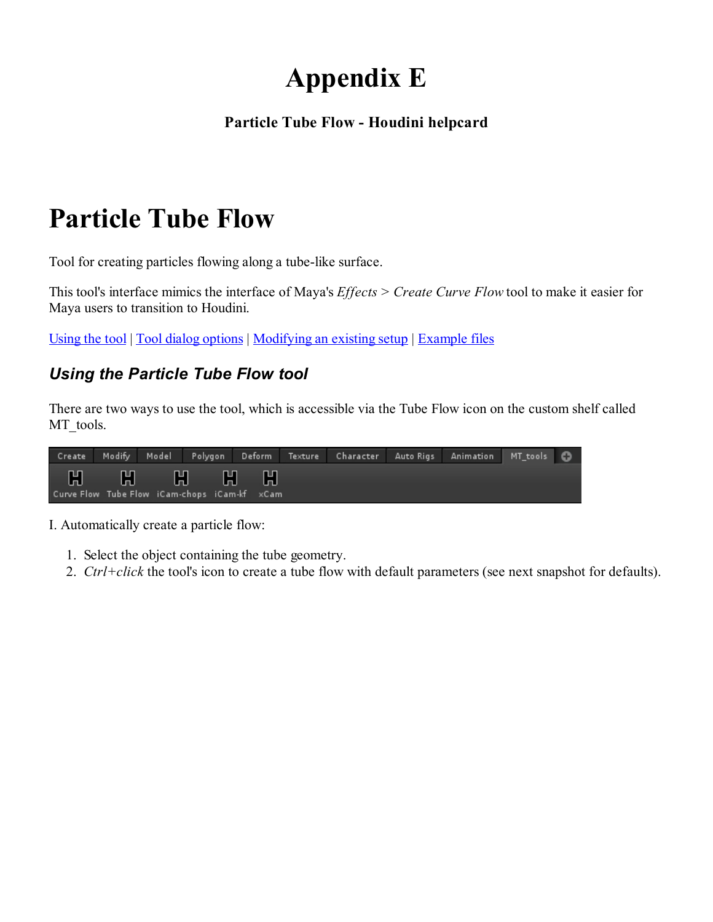# Appendix E

#### Particle Tube Flow - Houdini helpcard

# Particle Tube Flow

Tool for creating particles flowing along a tube-like surface.

This tool's interface mimics the interface of Maya's *Effects > Create Curve Flow* tool to make it easier for Maya users to transition to Houdini.

Using the tool | Tool dialog options | Modifying an existing setup | Example files

### Using the Particle Tube Flow tool

There are two ways to use the tool, which is accessible via the Tube Flow icon on the custom shelf called MT\_tools.

|  |                                                           |  | Create Modify Model Polygon Deform Texture Character AutoRigs Animation MT_tools |  |  |
|--|-----------------------------------------------------------|--|----------------------------------------------------------------------------------|--|--|
|  | H H H H H<br>Curve Flow Tube Flow iCam-chops iCam-kf xCam |  |                                                                                  |  |  |

I. Automatically create a particle flow:

- 1. Select the object containing the tube geometry.
- 2. Ctrl+click the tool's icon to create a tube flow with default parameters (see next snapshot for defaults).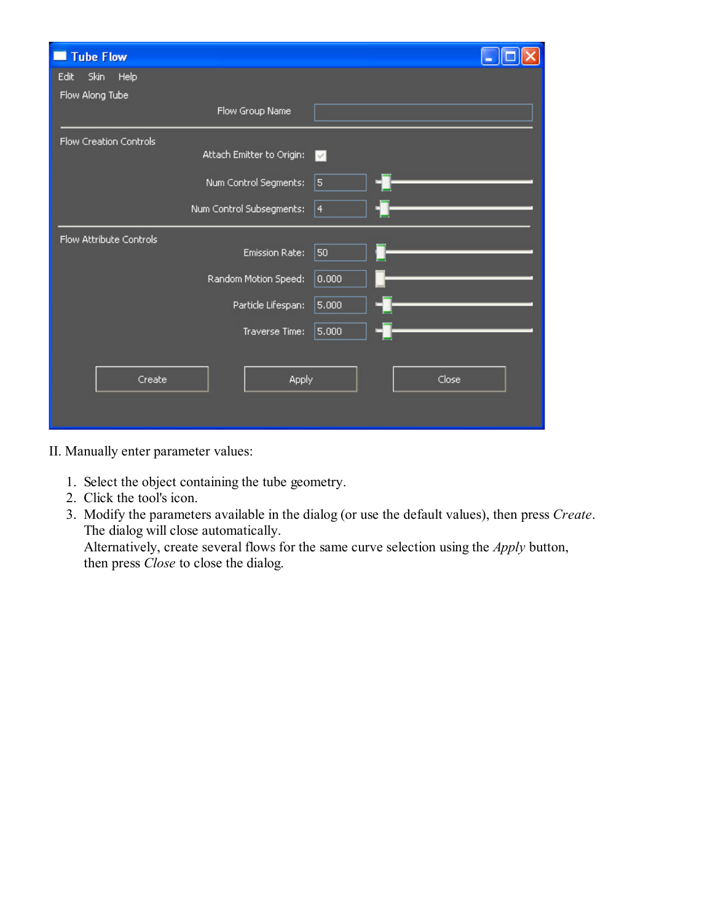| <b>Tube Flow</b><br>П   |                           |           |  |
|-------------------------|---------------------------|-----------|--|
| Skin<br>Help<br>Edit    |                           |           |  |
| Flow Along Tube         |                           |           |  |
|                         | Flow Group Name           |           |  |
| Flow Creation Controls  |                           |           |  |
|                         | Attach Emitter to Origin: | M         |  |
|                         | Num Control Segments:     | 5         |  |
|                         | Num Control Subsegments:  | $\vert 4$ |  |
| Flow Attribute Controls |                           |           |  |
|                         | <b>Emission Rate:</b>     | 50        |  |
|                         | Random Motion Speed:      | 0.000     |  |
|                         | Particle Lifespan:        | 5.000     |  |
|                         | Traverse Time:            | 5.000     |  |
|                         |                           |           |  |
| Create                  | Apply                     | Close     |  |
|                         |                           |           |  |
|                         |                           |           |  |

II. Manually enter parameter values:

- 1. Select the object containing the tube geometry.
- 2. Click the tool's icon.
- 3. Modify the parameters available in the dialog (or use the default values), then press Create. The dialog will close automatically.

Alternatively, create several flows for the same curve selection using the Apply button, then press *Close* to close the dialog.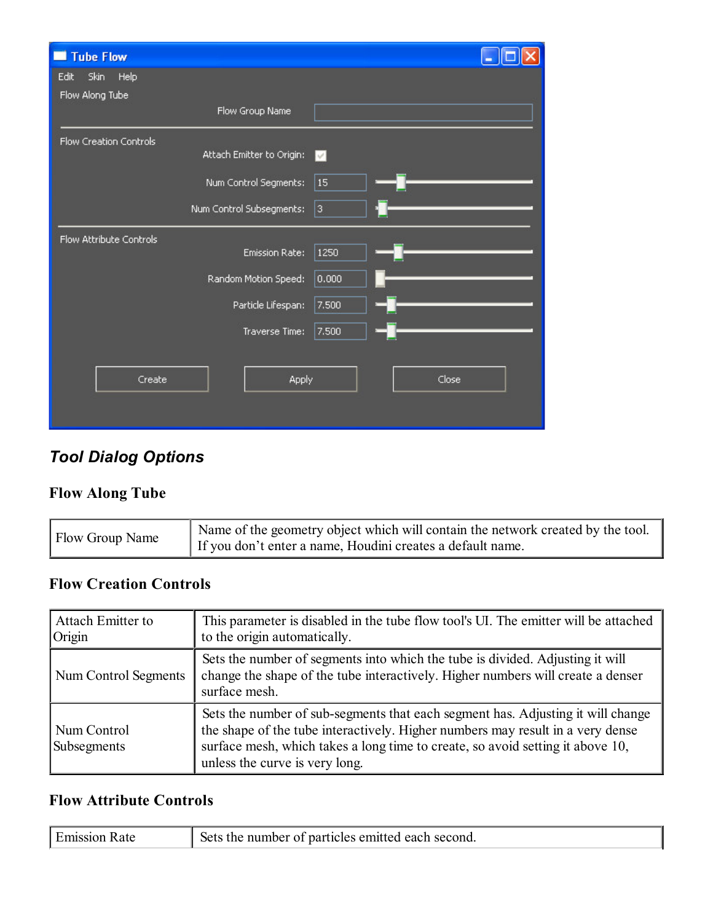| <b>Tube Flow</b>        |                           |        |  |
|-------------------------|---------------------------|--------|--|
| Skin<br>Help<br>Edit    |                           |        |  |
| Flow Along Tube         |                           |        |  |
|                         | Flow Group Name           |        |  |
| Flow Creation Controls  |                           |        |  |
|                         | Attach Emitter to Origin: | $\vee$ |  |
|                         | Num Control Segments:     | 15     |  |
|                         | Num Control Subsegments:  | 3      |  |
| Flow Attribute Controls |                           |        |  |
|                         | <b>Emission Rate:</b>     | 1250   |  |
|                         | Random Motion Speed:      | 0.000  |  |
|                         | Particle Lifespan:        | 7,500  |  |
|                         | Traverse Time:            | 7.500  |  |
|                         |                           |        |  |
| Create                  | Apply                     | Close  |  |
|                         |                           |        |  |

# Tool Dialog Options

### Flow Along Tube

|  | Flow Group Name | Name of the geometry object which will contain the network created by the tool.<br>If you don't enter a name, Houdini creates a default name. |
|--|-----------------|-----------------------------------------------------------------------------------------------------------------------------------------------|
|--|-----------------|-----------------------------------------------------------------------------------------------------------------------------------------------|

### Flow Creation Controls

| <b>Attach Emitter to</b><br>Origin | This parameter is disabled in the tube flow tool's UI. The emitter will be attached<br>to the origin automatically.                                                                                                                                                                   |  |  |
|------------------------------------|---------------------------------------------------------------------------------------------------------------------------------------------------------------------------------------------------------------------------------------------------------------------------------------|--|--|
| Num Control Segments               | Sets the number of segments into which the tube is divided. Adjusting it will<br>change the shape of the tube interactively. Higher numbers will create a denser<br>surface mesh.                                                                                                     |  |  |
| Num Control<br>Subsegments         | Sets the number of sub-segments that each segment has. Adjusting it will change<br>the shape of the tube interactively. Higher numbers may result in a very dense<br>surface mesh, which takes a long time to create, so avoid setting it above 10,<br>unless the curve is very long. |  |  |

#### Flow Attribute Controls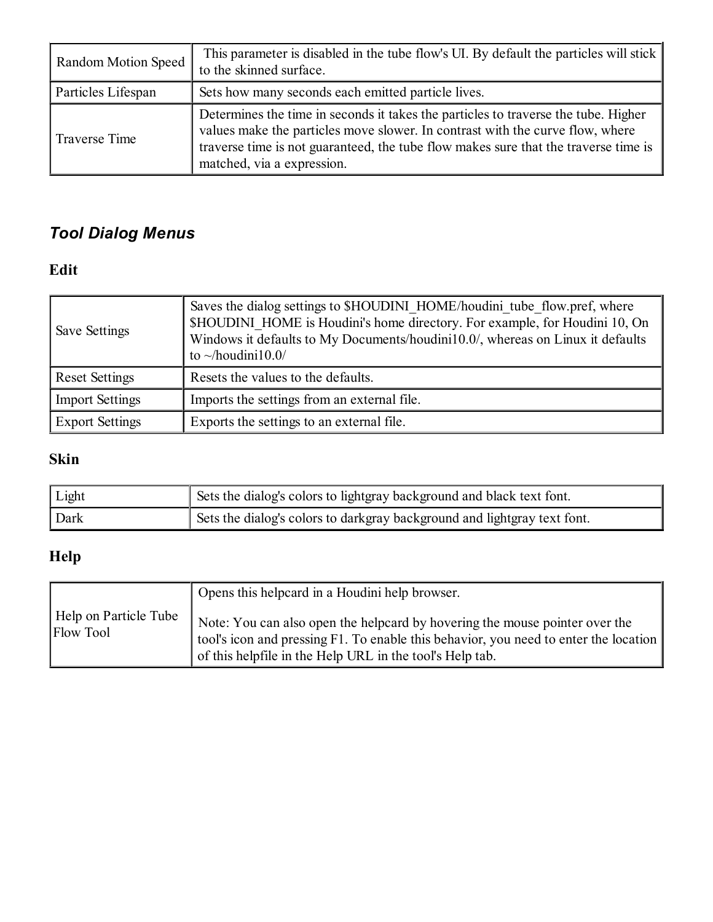| Random Motion Speed | This parameter is disabled in the tube flow's UI. By default the particles will stick<br>to the skinned surface.                                                                                                                                                                         |  |  |  |  |
|---------------------|------------------------------------------------------------------------------------------------------------------------------------------------------------------------------------------------------------------------------------------------------------------------------------------|--|--|--|--|
| Particles Lifespan  | Sets how many seconds each emitted particle lives.                                                                                                                                                                                                                                       |  |  |  |  |
| Traverse Time       | Determines the time in seconds it takes the particles to traverse the tube. Higher<br>values make the particles move slower. In contrast with the curve flow, where<br>traverse time is not guaranteed, the tube flow makes sure that the traverse time is<br>matched, via a expression. |  |  |  |  |

# Tool Dialog Menus

## Edit

| Save Settings          | Saves the dialog settings to \$HOUDINI HOME/houdini tube flow.pref, where<br>\$HOUDINI HOME is Houdini's home directory. For example, for Houdini 10, On<br>Windows it defaults to My Documents/houdini10.0/, whereas on Linux it defaults<br>to $\sim$ /houdini10.0/ |  |  |  |  |
|------------------------|-----------------------------------------------------------------------------------------------------------------------------------------------------------------------------------------------------------------------------------------------------------------------|--|--|--|--|
| <b>Reset Settings</b>  | Resets the values to the defaults.                                                                                                                                                                                                                                    |  |  |  |  |
| <b>Import Settings</b> | Imports the settings from an external file.                                                                                                                                                                                                                           |  |  |  |  |
| <b>Export Settings</b> | Exports the settings to an external file.                                                                                                                                                                                                                             |  |  |  |  |

## Skin

| Light | Sets the dialog's colors to lightgray background and black text font.    |  |  |
|-------|--------------------------------------------------------------------------|--|--|
| Dark  | Sets the dialog's colors to darkgray background and lightgray text font. |  |  |

# Help

|                                           | Opens this helpcard in a Houdini help browser.                                                                                                                                                                                  |
|-------------------------------------------|---------------------------------------------------------------------------------------------------------------------------------------------------------------------------------------------------------------------------------|
| Help on Particle Tube<br><b>Flow Tool</b> | Note: You can also open the helpcard by hovering the mouse pointer over the<br>tool's icon and pressing F1. To enable this behavior, you need to enter the location<br>of this helpfile in the Help URL in the tool's Help tab. |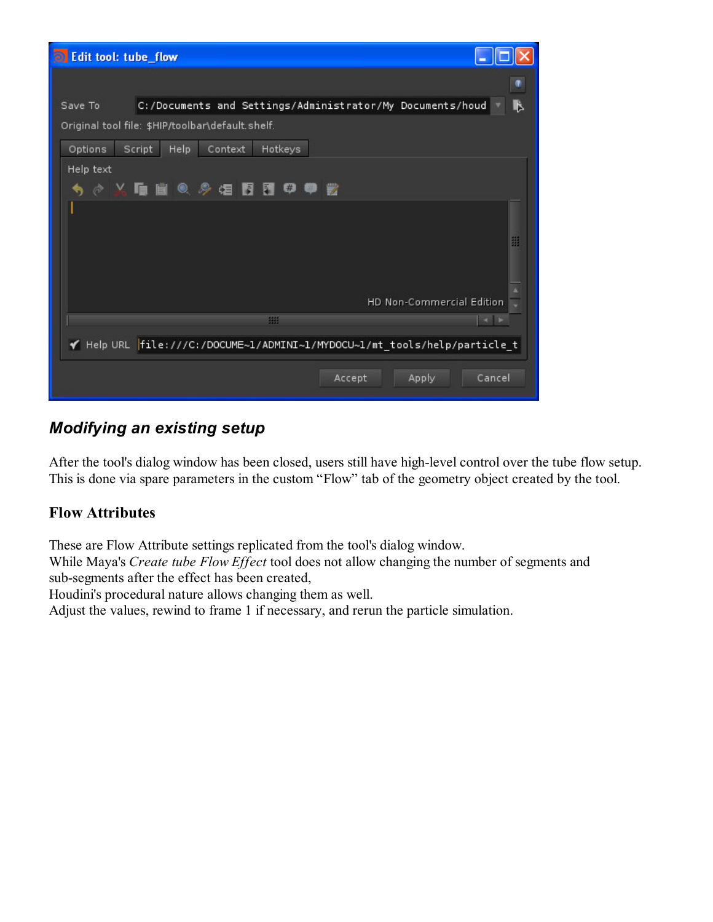| <b>O</b> Edit tool: tube_flow                                             |  |  |  |  |  |  |
|---------------------------------------------------------------------------|--|--|--|--|--|--|
|                                                                           |  |  |  |  |  |  |
| C:/Documents and Settings/Administrator/My Documents/houd<br>B<br>Save To |  |  |  |  |  |  |
| Original tool file: \$HIP/toolbar\default.shelf.                          |  |  |  |  |  |  |
| Hotkeys<br>Options<br>Script<br>Help<br>Context                           |  |  |  |  |  |  |
| Help text                                                                 |  |  |  |  |  |  |
| $\bullet$<br>₩<br>◇ X ■ ■ ◎ 多 烟 胃 胃                                       |  |  |  |  |  |  |
|                                                                           |  |  |  |  |  |  |
| 璽                                                                         |  |  |  |  |  |  |
|                                                                           |  |  |  |  |  |  |
|                                                                           |  |  |  |  |  |  |
| HD Non-Commercial Edition                                                 |  |  |  |  |  |  |
| 拥<br>$-1$                                                                 |  |  |  |  |  |  |
| Help URL file:///C:/DOCUME~1/ADMINI~1/MYDOCU~1/mt_tools/help/particle_t   |  |  |  |  |  |  |
| Cancel<br>Accept<br>Apply                                                 |  |  |  |  |  |  |

## Modifying an existing setup

After the tool's dialog window has been closed, users still have high-level control over the tube flow setup. This is done via spare parameters in the custom "Flow" tab of the geometry object created by the tool.

#### Flow Attributes

These are Flow Attribute settings replicated from the tool's dialog window.

While Maya's Create tube Flow Effect tool does not allow changing the number of segments and sub-segments after the effect has been created,

Houdini's procedural nature allows changing them as well.

Adjust the values, rewind to frame 1 if necessary, and rerun the particle simulation.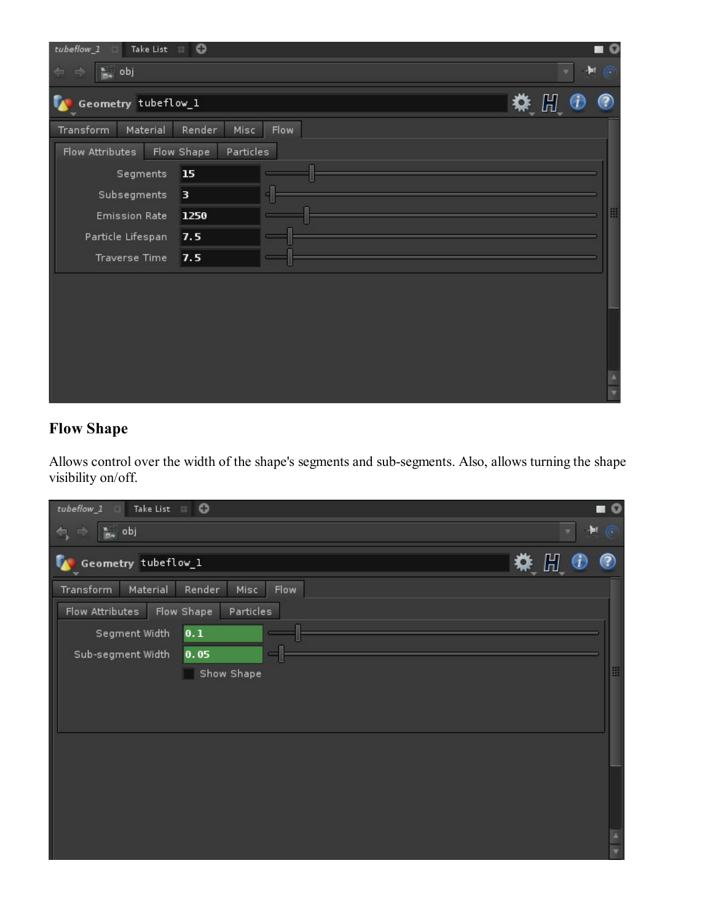| $tubeflow_1$<br>Take List 8<br>-53 | $\circ$                 |      |  |            |        |
|------------------------------------|-------------------------|------|--|------------|--------|
| $\frac{a}{m_0}$ obj<br><b>Ay</b>   |                         |      |  |            | ÷<br>œ |
| Geometry tubeflow_1                |                         |      |  | <b>株 間</b> |        |
| Material<br>Transform              | Render<br>Misc          | Flow |  |            |        |
| Flow Attributes                    | Flow Shape<br>Particles |      |  |            |        |
| Segments                           | 15                      |      |  |            |        |
| Subsegments                        | 3                       |      |  |            |        |
| <b>Emission Rate</b>               | 1250                    |      |  |            |        |
| Particle Lifespan                  | 7.5                     |      |  |            |        |
| Traverse Time                      | 7.5                     |      |  |            |        |
|                                    |                         |      |  |            |        |
|                                    |                         |      |  |            |        |
|                                    |                         |      |  |            |        |
|                                    |                         |      |  |            |        |
|                                    |                         |      |  |            |        |
|                                    |                         |      |  |            |        |

### Flow Shape

Allows control over the width of the shape's segments and sub-segments. Also, allows turning the shape visibility on/off.

| tubeflow_1 23 Take List 23 ©                                                                  | $\blacksquare$ |
|-----------------------------------------------------------------------------------------------|----------------|
| s, obj<br>$\Rightarrow$<br>⇚                                                                  | $H \n$         |
| Geometry tubeflow_1                                                                           | ※ 間 ●<br>◉     |
| Transform<br>Material<br>Render<br>Misc<br>Flow<br>Flow Shape<br>Particles<br>Flow Attributes |                |
| 0.1<br>Segment Width                                                                          |                |
| Sub-segment Width<br>0.05<br>Show Shape                                                       | 噩              |
|                                                                                               |                |
|                                                                                               |                |
|                                                                                               |                |
|                                                                                               |                |
|                                                                                               |                |
|                                                                                               |                |